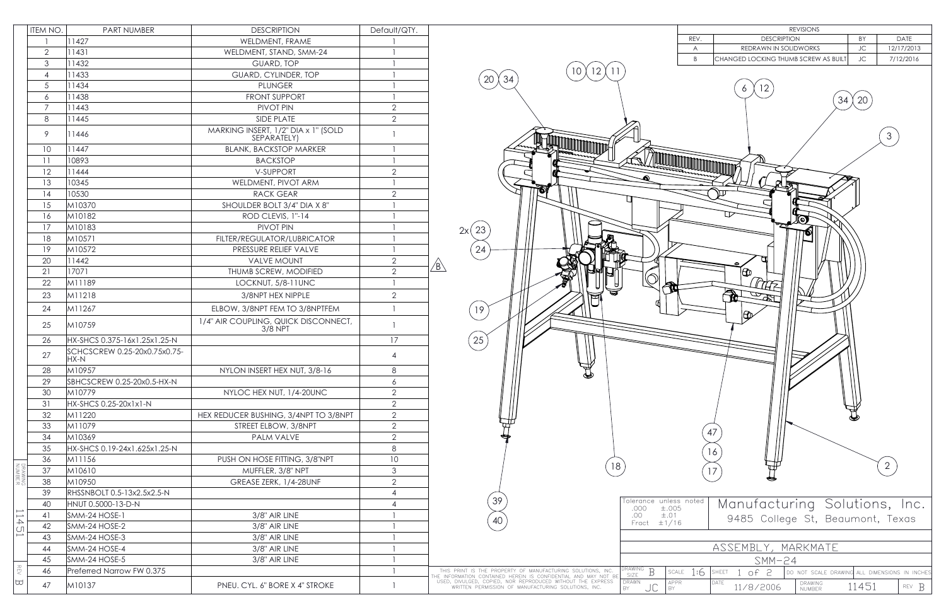|                         | ITEM NO.       | <b>PART NUMBER</b>                   | <b>DESCRIPTION</b>                                                                                                                                                                                                                                      | Default/QTY.                                                              |               |                   |
|-------------------------|----------------|--------------------------------------|---------------------------------------------------------------------------------------------------------------------------------------------------------------------------------------------------------------------------------------------------------|---------------------------------------------------------------------------|---------------|-------------------|
|                         |                | 11427                                | WELDMENT, FRAME                                                                                                                                                                                                                                         |                                                                           |               |                   |
|                         | $\overline{2}$ | 11431                                | WELDMENT, STAND, SMM-24                                                                                                                                                                                                                                 |                                                                           |               |                   |
|                         | 3              | 11432                                | <b>GUARD, TOP</b>                                                                                                                                                                                                                                       |                                                                           |               |                   |
|                         | 4              | 11433                                | GUARD, CYLINDER, TOP                                                                                                                                                                                                                                    |                                                                           |               |                   |
|                         | 5              | 11434                                | <b>PLUNGER</b>                                                                                                                                                                                                                                          |                                                                           |               |                   |
|                         | 6              | 11438                                | <b>FRONT SUPPORT</b><br>PIVOT PIN<br><b>SIDE PLATE</b><br>MARKING INSERT, 1/2" DIA x 1" (SOLD<br>SEPARATELY)<br><b>BLANK, BACKSTOP MARKER</b><br><b>BACKSTOP</b><br>V-SUPPORT<br>WELDMENT, PIVOT ARM<br><b>RACK GEAR</b><br>SHOULDER BOLT 3/4" DIA X 8" | $\overline{2}$<br>$\overline{2}$<br>1<br>$\overline{2}$<br>$\overline{2}$ |               |                   |
|                         | $\overline{7}$ | 11443                                |                                                                                                                                                                                                                                                         |                                                                           |               |                   |
|                         | $8\,$<br>9     | 11445<br>11446                       |                                                                                                                                                                                                                                                         |                                                                           |               |                   |
|                         |                |                                      |                                                                                                                                                                                                                                                         |                                                                           |               | 10                |
|                         | 11             | 10893                                |                                                                                                                                                                                                                                                         |                                                                           |               |                   |
|                         | 12             | 11444                                |                                                                                                                                                                                                                                                         |                                                                           |               |                   |
|                         | 13             | 10345                                |                                                                                                                                                                                                                                                         |                                                                           |               |                   |
|                         | 14             | 10530                                |                                                                                                                                                                                                                                                         |                                                                           |               |                   |
|                         |                | 15                                   |                                                                                                                                                                                                                                                         |                                                                           |               | M10370            |
|                         | 16             | M10182                               |                                                                                                                                                                                                                                                         |                                                                           |               | ROD CLEVIS, 1"-14 |
|                         | 17             | M10183                               | PIVOT PIN                                                                                                                                                                                                                                               |                                                                           |               |                   |
|                         | 18             | M10571                               | FILTER/REGULATOR/LUBRICATOR                                                                                                                                                                                                                             |                                                                           |               |                   |
|                         | 19             | M10572                               | PRESSURE RELIEF VALVE                                                                                                                                                                                                                                   |                                                                           |               |                   |
|                         | 20             | 11442                                | <b>VALVE MOUNT</b>                                                                                                                                                                                                                                      | $\overline{2}$                                                            | $\sqrt{B}$    |                   |
|                         | 21             | 17071                                | THUMB SCREW, MODIFIED                                                                                                                                                                                                                                   | $\overline{2}$                                                            |               |                   |
|                         | 22             | M11189                               | LOCKNUT, 5/8-11UNC                                                                                                                                                                                                                                      |                                                                           |               |                   |
|                         | 23             | M11218                               | 3/8NPT HEX NIPPLE                                                                                                                                                                                                                                       | $\overline{2}$                                                            |               |                   |
|                         | 24             | M11267                               | ELBOW, 3/8NPT FEM TO 3/8NPTFEM                                                                                                                                                                                                                          | 1                                                                         |               |                   |
|                         | 25             | M10759                               | 1/4" AIR COUPLING, QUICK DISCONNECT,<br>3/8 NPT                                                                                                                                                                                                         | $\mathbf{1}$                                                              |               |                   |
|                         | 26             | HX-SHCS 0.375-16x1.25x1.25-N         |                                                                                                                                                                                                                                                         | 17                                                                        |               |                   |
|                         | 27             | SCHCSCREW 0.25-20x0.75x0.75-<br>HX-N |                                                                                                                                                                                                                                                         | 4                                                                         |               |                   |
|                         | 28             | M10957                               | NYLON INSERT HEX NUT, 3/8-16                                                                                                                                                                                                                            | 8                                                                         |               |                   |
|                         | 29             | SBHCSCREW 0.25-20x0.5-HX-N           |                                                                                                                                                                                                                                                         | 6                                                                         |               |                   |
|                         | 30             | M10779                               | NYLOC HEX NUT, 1/4-20UNC                                                                                                                                                                                                                                | 2                                                                         |               |                   |
|                         | 31             | HX-SHCS 0.25-20x1x1-N                |                                                                                                                                                                                                                                                         | $\overline{2}$                                                            |               |                   |
|                         | 32             | M11220                               | HEX REDUCER BUSHING, 3/4NPT TO 3/8NPT                                                                                                                                                                                                                   | $\overline{2}$                                                            |               |                   |
|                         | 33             | M11079                               | STREET ELBOW, 3/8NPT                                                                                                                                                                                                                                    | $\overline{2}$                                                            |               |                   |
|                         | 34             | M10369                               | <b>PALM VALVE</b>                                                                                                                                                                                                                                       | $\overline{2}$                                                            |               |                   |
|                         | 35             | HX-SHCS 0.19-24x1.625x1.25-N         |                                                                                                                                                                                                                                                         | 8                                                                         |               |                   |
|                         | 36             | M11156                               | PUSH ON HOSE FITTING, 3/8"NPT                                                                                                                                                                                                                           | 10                                                                        |               |                   |
| DRAWING<br>NUMBER       | 37             | M10610                               | MUFFLER, 3/8" NPT                                                                                                                                                                                                                                       | 3                                                                         |               |                   |
|                         | 38             | M10950                               | GREASE ZERK, 1/4-28UNF                                                                                                                                                                                                                                  | $\overline{2}$                                                            |               |                   |
|                         | 39             | RHSSNBOLT 0.5-13x2.5x2.5-N           |                                                                                                                                                                                                                                                         | 4                                                                         |               |                   |
|                         | 40             | HNUT 0.5000-13-D-N                   |                                                                                                                                                                                                                                                         | 4                                                                         |               |                   |
| $\Box$<br>$\rightarrow$ | 41             | SMM-24 HOSE-1                        | 3/8" AIR LINE                                                                                                                                                                                                                                           |                                                                           |               |                   |
| $\cup$                  | 42             | SMM-24 HOSE-2                        | 3/8" AIR LINE                                                                                                                                                                                                                                           |                                                                           |               |                   |
| $\mapsto$               | 43             | SMM-24 HOSE-3                        | 3/8" AIR LINE                                                                                                                                                                                                                                           |                                                                           |               |                   |
|                         | 44             | SMM-24 HOSE-4                        | 3/8" AIR LINE                                                                                                                                                                                                                                           |                                                                           |               |                   |
|                         | 45             | SMM-24 HOSE-5                        | 3/8" AIR LINE                                                                                                                                                                                                                                           |                                                                           |               |                   |
| <b>REV</b>              | 46             | Preferred Narrow FW 0.375            |                                                                                                                                                                                                                                                         |                                                                           | THI<br>THE IN |                   |
| ₩                       | 47             | M10137                               | PNEU. CYL. 6" BORE X 4" STROKE                                                                                                                                                                                                                          |                                                                           | USEI          |                   |



| <b>REVISIONS</b>                                                                                                                      |                                                                                                                   |                                               |       |            |  |  |  |  |
|---------------------------------------------------------------------------------------------------------------------------------------|-------------------------------------------------------------------------------------------------------------------|-----------------------------------------------|-------|------------|--|--|--|--|
|                                                                                                                                       | REV.                                                                                                              | DATE<br><b>DESCRIPTION</b><br>BY              |       |            |  |  |  |  |
|                                                                                                                                       | A                                                                                                                 | REDRAWN IN SOLIDWORKS                         | JC    | 12/17/2013 |  |  |  |  |
|                                                                                                                                       | $\mathsf B$                                                                                                       | CHANGED LOCKING THUMB SCREW AS BUILT          | JC    | 7/12/2016  |  |  |  |  |
|                                                                                                                                       |                                                                                                                   |                                               |       |            |  |  |  |  |
| 12<br>6<br>34<br>20<br>3<br>Q<br>Z<br>P<br>$\bm{\Theta}$<br>ക<br>π<br>ſÒ<br>Æ<br>Œ<br>47<br>16<br>$\overline{2}$<br>17                |                                                                                                                   |                                               |       |            |  |  |  |  |
| .000<br>.00<br>Fract                                                                                                                  | Tolerance unless noted<br>Manufacturing Solutions, Inc.<br>±.005<br>$\pm .01$<br>9485 College St, Beaumont, Texas |                                               |       |            |  |  |  |  |
| ±1/16                                                                                                                                 |                                                                                                                   |                                               |       |            |  |  |  |  |
|                                                                                                                                       |                                                                                                                   |                                               |       |            |  |  |  |  |
| ASSEMBLY, MARKMATE                                                                                                                    |                                                                                                                   |                                               |       |            |  |  |  |  |
| $SMM-24$                                                                                                                              |                                                                                                                   |                                               |       |            |  |  |  |  |
| DRAWING<br>B<br>1:6<br>$\textsf{SCALE}\xspace$<br>SHEET<br>$1$ of $2$<br>DO NOT SCALE DRAWING ALL DIMENSIONS IN INCHES<br><b>SIZE</b> |                                                                                                                   |                                               |       |            |  |  |  |  |
| DRAWN<br>JC<br>BY                                                                                                                     | APPR<br>BY                                                                                                        | DATE<br><b>DRAWING</b><br>11/8/2006<br>NUMBER | 11451 | REV B      |  |  |  |  |